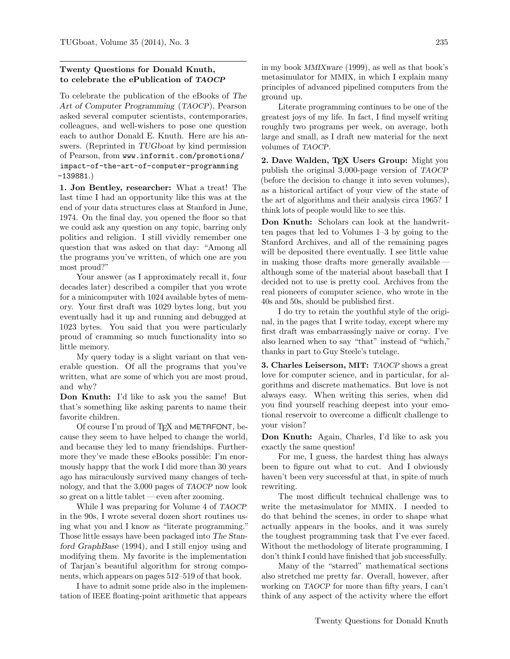## Twenty Questions for Donald Knuth, to celebrate the ePublication of TAOCP

To celebrate the publication of the eBooks of The Art of Computer Programming (TAOCP), Pearson asked several computer scientists, contemporaries, colleagues, and well-wishers to pose one question each to author Donald E. Knuth. Here are his answers. (Reprinted in TUGboat by kind permission of Pearson, from www.informit.com/promotions/ impact-of-the-art-of-computer-programming -139881.)

1. Jon Bentley, researcher: What a treat! The last time I had an opportunity like this was at the end of your data structures class at Stanford in June, 1974. On the final day, you opened the floor so that we could ask any question on any topic, barring only politics and religion. I still vividly remember one question that was asked on that day: "Among all the programs you've written, of which one are you most proud?"

Your answer (as I approximately recall it, four decades later) described a compiler that you wrote for a minicomputer with 1024 available bytes of memory. Your first draft was 1029 bytes long, but you eventually had it up and running and debugged at 1023 bytes. You said that you were particularly proud of cramming so much functionality into so little memory.

My query today is a slight variant on that venerable question. Of all the programs that you've written, what are some of which you are most proud, and why?

Don Knuth: I'd like to ask you the same! But that's something like asking parents to name their favorite children.

Of course I'm proud of TFX and METAFONT, because they seem to have helped to change the world, and because they led to many friendships. Furthermore they've made these eBooks possible: I'm enormously happy that the work I did more than 30 years ago has miraculously survived many changes of technology, and that the 3,000 pages of TAOCP now look so great on a little tablet — even after zooming.

While I was preparing for Volume 4 of TAOCP in the 90s, I wrote several dozen short routines using what you and I know as "literate programming." Those little essays have been packaged into The Stanford GraphBase (1994), and I still enjoy using and modifying them. My favorite is the implementation of Tarjan's beautiful algorithm for strong components, which appears on pages 512–519 of that book.

I have to admit some pride also in the implementation of IEEE floating-point arithmetic that appears

in my book MMIXware (1999), as well as that book's metasimulator for MMIX, in which I explain many principles of advanced pipelined computers from the ground up.

Literate programming continues to be one of the greatest joys of my life. In fact, I find myself writing roughly two programs per week, on average, both large and small, as I draft new material for the next volumes of TAOCP.

2. Dave Walden, TFX Users Group: Might you publish the original 3,000-page version of TAOCP (before the decision to change it into seven volumes), as a historical artifact of your view of the state of the art of algorithms and their analysis circa 1965? I think lots of people would like to see this.

Don Knuth: Scholars can look at the handwritten pages that led to Volumes 1–3 by going to the Stanford Archives, and all of the remaining pages will be deposited there eventually. I see little value in making those drafts more generally available although some of the material about baseball that I decided not to use is pretty cool. Archives from the real pioneers of computer science, who wrote in the 40s and 50s, should be published first.

I do try to retain the youthful style of the original, in the pages that I write today, except where my first draft was embarrassingly naive or corny. I've also learned when to say "that" instead of "which," thanks in part to Guy Steele's tutelage.

3. Charles Leiserson, MIT: TAOCP shows a great love for computer science, and in particular, for algorithms and discrete mathematics. But love is not always easy. When writing this series, when did you find yourself reaching deepest into your emotional reservoir to overcome a difficult challenge to your vision?

Don Knuth: Again, Charles, I'd like to ask you exactly the same question!

For me, I guess, the hardest thing has always been to figure out what to cut. And I obviously haven't been very successful at that, in spite of much rewriting.

The most difficult technical challenge was to write the metasimulator for MMIX. I needed to do that behind the scenes, in order to shape what actually appears in the books, and it was surely the toughest programming task that I've ever faced. Without the methodology of literate programming, I don't think I could have finished that job successfully.

Many of the "starred" mathematical sections also stretched me pretty far. Overall, however, after working on TAOCP for more than fifty years, I can't think of any aspect of the activity where the effort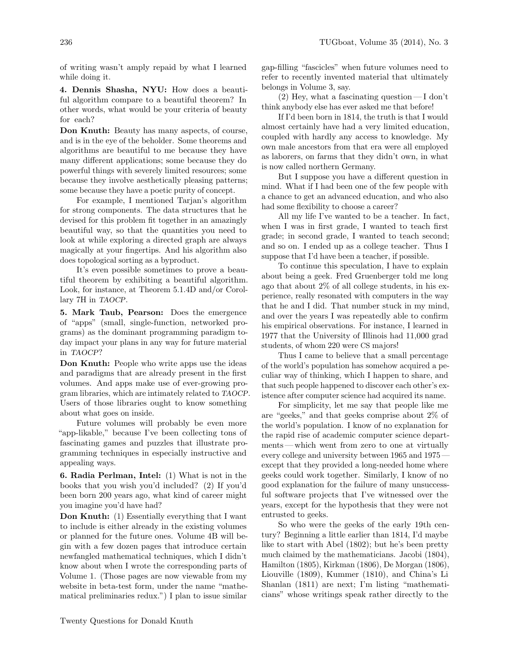of writing wasn't amply repaid by what I learned while doing it.

4. Dennis Shasha, NYU: How does a beautiful algorithm compare to a beautiful theorem? In other words, what would be your criteria of beauty for each?

Don Knuth: Beauty has many aspects, of course, and is in the eye of the beholder. Some theorems and algorithms are beautiful to me because they have many different applications; some because they do powerful things with severely limited resources; some because they involve aesthetically pleasing patterns; some because they have a poetic purity of concept.

For example, I mentioned Tarjan's algorithm for strong components. The data structures that he devised for this problem fit together in an amazingly beautiful way, so that the quantities you need to look at while exploring a directed graph are always magically at your fingertips. And his algorithm also does topological sorting as a byproduct.

It's even possible sometimes to prove a beautiful theorem by exhibiting a beautiful algorithm. Look, for instance, at Theorem 5.1.4D and/or Corollary 7H in TAOCP.

5. Mark Taub, Pearson: Does the emergence of "apps" (small, single-function, networked programs) as the dominant programming paradigm today impact your plans in any way for future material in TAOCP?

Don Knuth: People who write apps use the ideas and paradigms that are already present in the first volumes. And apps make use of ever-growing program libraries, which are intimately related to TAOCP. Users of those libraries ought to know something about what goes on inside.

Future volumes will probably be even more "app-likable," because I've been collecting tons of fascinating games and puzzles that illustrate programming techniques in especially instructive and appealing ways.

6. Radia Perlman, Intel: (1) What is not in the books that you wish you'd included? (2) If you'd been born 200 years ago, what kind of career might you imagine you'd have had?

Don Knuth: (1) Essentially everything that I want to include is either already in the existing volumes or planned for the future ones. Volume 4B will begin with a few dozen pages that introduce certain newfangled mathematical techniques, which I didn't know about when I wrote the corresponding parts of Volume 1. (Those pages are now viewable from my website in beta-test form, under the name "mathematical preliminaries redux.") I plan to issue similar

gap-filling "fascicles" when future volumes need to refer to recently invented material that ultimately belongs in Volume 3, say.

 $(2)$  Hey, what a fascinating question—I don't think anybody else has ever asked me that before!

If I'd been born in 1814, the truth is that I would almost certainly have had a very limited education, coupled with hardly any access to knowledge. My own male ancestors from that era were all employed as laborers, on farms that they didn't own, in what is now called northern Germany.

But I suppose you have a different question in mind. What if I had been one of the few people with a chance to get an advanced education, and who also had some flexibility to choose a career?

All my life I've wanted to be a teacher. In fact, when I was in first grade, I wanted to teach first grade; in second grade, I wanted to teach second; and so on. I ended up as a college teacher. Thus I suppose that I'd have been a teacher, if possible.

To continue this speculation, I have to explain about being a geek. Fred Gruenberger told me long ago that about 2% of all college students, in his experience, really resonated with computers in the way that he and I did. That number stuck in my mind, and over the years I was repeatedly able to confirm his empirical observations. For instance, I learned in 1977 that the University of Illinois had 11,000 grad students, of whom 220 were CS majors!

Thus I came to believe that a small percentage of the world's population has somehow acquired a peculiar way of thinking, which I happen to share, and that such people happened to discover each other's existence after computer science had acquired its name.

For simplicity, let me say that people like me are "geeks," and that geeks comprise about 2% of the world's population. I know of no explanation for the rapid rise of academic computer science departments— which went from zero to one at virtually every college and university between 1965 and 1975 except that they provided a long-needed home where geeks could work together. Similarly, I know of no good explanation for the failure of many unsuccessful software projects that I've witnessed over the years, except for the hypothesis that they were not entrusted to geeks.

So who were the geeks of the early 19th century? Beginning a little earlier than 1814, I'd maybe like to start with Abel (1802); but he's been pretty much claimed by the mathematicians. Jacobi (1804), Hamilton (1805), Kirkman (1806), De Morgan (1806), Liouville (1809), Kummer (1810), and China's Li Shanlan (1811) are next; I'm listing "mathematicians" whose writings speak rather directly to the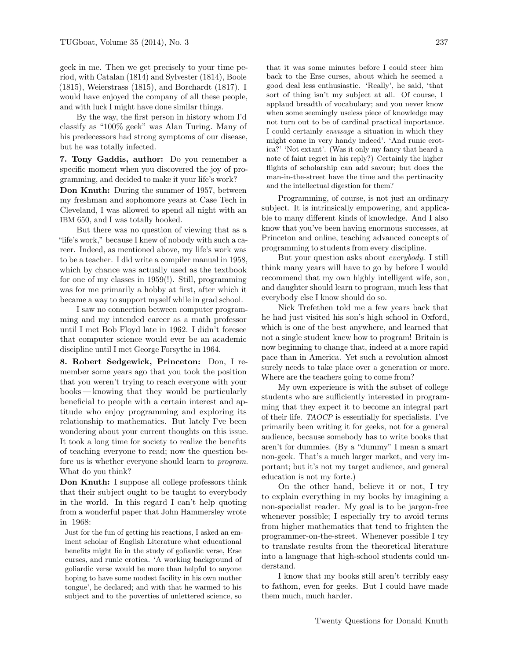geek in me. Then we get precisely to your time period, with Catalan (1814) and Sylvester (1814), Boole (1815), Weierstrass (1815), and Borchardt (1817). I would have enjoyed the company of all these people, and with luck I might have done similar things.

By the way, the first person in history whom I'd classify as "100% geek" was Alan Turing. Many of his predecessors had strong symptoms of our disease, but he was totally infected.

7. Tony Gaddis, author: Do you remember a specific moment when you discovered the joy of programming, and decided to make it your life's work?

Don Knuth: During the summer of 1957, between my freshman and sophomore years at Case Tech in Cleveland, I was allowed to spend all night with an IBM 650, and I was totally hooked.

But there was no question of viewing that as a "life's work," because I knew of nobody with such a career. Indeed, as mentioned above, my life's work was to be a teacher. I did write a compiler manual in 1958, which by chance was actually used as the textbook for one of my classes in 1959(!). Still, programming was for me primarily a hobby at first, after which it became a way to support myself while in grad school.

I saw no connection between computer programming and my intended career as a math professor until I met Bob Floyd late in 1962. I didn't foresee that computer science would ever be an academic discipline until I met George Forsythe in 1964.

8. Robert Sedgewick, Princeton: Don, I remember some years ago that you took the position that you weren't trying to reach everyone with your books— knowing that they would be particularly beneficial to people with a certain interest and aptitude who enjoy programming and exploring its relationship to mathematics. But lately I've been wondering about your current thoughts on this issue. It took a long time for society to realize the benefits of teaching everyone to read; now the question before us is whether everyone should learn to program. What do you think?

Don Knuth: I suppose all college professors think that their subject ought to be taught to everybody in the world. In this regard I can't help quoting from a wonderful paper that John Hammersley wrote in 1968:

Just for the fun of getting his reactions, I asked an eminent scholar of English Literature what educational benefits might lie in the study of goliardic verse, Erse curses, and runic erotica. 'A working background of goliardic verse would be more than helpful to anyone hoping to have some modest facility in his own mother tongue', he declared; and with that he warmed to his subject and to the poverties of unlettered science, so

that it was some minutes before I could steer him back to the Erse curses, about which he seemed a good deal less enthusiastic. 'Really', he said, 'that sort of thing isn't my subject at all. Of course, I applaud breadth of vocabulary; and you never know when some seemingly useless piece of knowledge may not turn out to be of cardinal practical importance. I could certainly envisage a situation in which they might come in very handy indeed'. 'And runic erotica?' 'Not extant'. (Was it only my fancy that heard a note of faint regret in his reply?) Certainly the higher flights of scholarship can add savour; but does the man-in-the-street have the time and the pertinacity and the intellectual digestion for them?

Programming, of course, is not just an ordinary subject. It is intrinsically empowering, and applicable to many different kinds of knowledge. And I also know that you've been having enormous successes, at Princeton and online, teaching advanced concepts of programming to students from every discipline.

But your question asks about everybody. I still think many years will have to go by before I would recommend that my own highly intelligent wife, son, and daughter should learn to program, much less that everybody else I know should do so.

Nick Trefethen told me a few years back that he had just visited his son's high school in Oxford, which is one of the best anywhere, and learned that not a single student knew how to program! Britain is now beginning to change that, indeed at a more rapid pace than in America. Yet such a revolution almost surely needs to take place over a generation or more. Where are the teachers going to come from?

My own experience is with the subset of college students who are sufficiently interested in programming that they expect it to become an integral part of their life. TAOCP is essentially for specialists. I've primarily been writing it for geeks, not for a general audience, because somebody has to write books that aren't for dummies. (By a "dummy" I mean a smart non-geek. That's a much larger market, and very important; but it's not my target audience, and general education is not my forte.)

On the other hand, believe it or not, I try to explain everything in my books by imagining a non-specialist reader. My goal is to be jargon-free whenever possible; I especially try to avoid terms from higher mathematics that tend to frighten the programmer-on-the-street. Whenever possible I try to translate results from the theoretical literature into a language that high-school students could understand.

I know that my books still aren't terribly easy to fathom, even for geeks. But I could have made them much, much harder.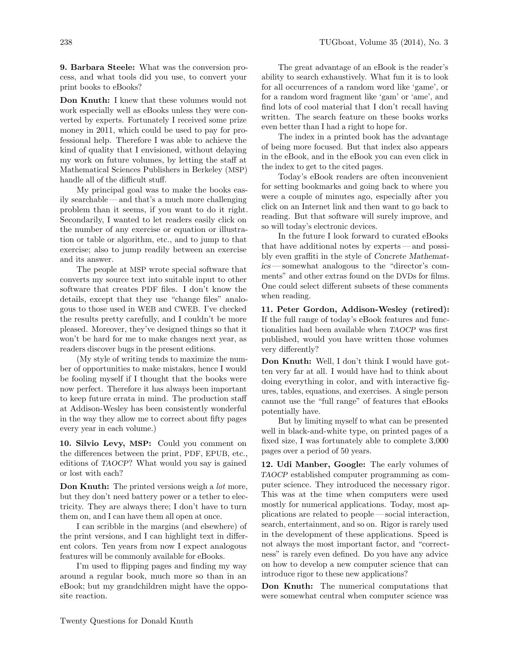9. Barbara Steele: What was the conversion process, and what tools did you use, to convert your print books to eBooks?

Don Knuth: I knew that these volumes would not work especially well as eBooks unless they were converted by experts. Fortunately I received some prize money in 2011, which could be used to pay for professional help. Therefore I was able to achieve the kind of quality that I envisioned, without delaying my work on future volumes, by letting the staff at Mathematical Sciences Publishers in Berkeley (MSP) handle all of the difficult stuff.

My principal goal was to make the books easily searchable — and that's a much more challenging problem than it seems, if you want to do it right. Secondarily, I wanted to let readers easily click on the number of any exercise or equation or illustration or table or algorithm, etc., and to jump to that exercise; also to jump readily between an exercise and its answer.

The people at MSP wrote special software that converts my source text into suitable input to other software that creates PDF files. I don't know the details, except that they use "change files" analogous to those used in WEB and CWEB. I've checked the results pretty carefully, and I couldn't be more pleased. Moreover, they've designed things so that it won't be hard for me to make changes next year, as readers discover bugs in the present editions.

(My style of writing tends to maximize the number of opportunities to make mistakes, hence I would be fooling myself if I thought that the books were now perfect. Therefore it has always been important to keep future errata in mind. The production staff at Addison-Wesley has been consistently wonderful in the way they allow me to correct about fifty pages every year in each volume.)

10. Silvio Levy, MSP: Could you comment on the differences between the print, PDF, EPUB, etc., editions of TAOCP? What would you say is gained or lost with each?

Don Knuth: The printed versions weigh a *lot* more, but they don't need battery power or a tether to electricity. They are always there; I don't have to turn them on, and I can have them all open at once.

I can scribble in the margins (and elsewhere) of the print versions, and I can highlight text in different colors. Ten years from now I expect analogous features will be commonly available for eBooks.

I'm used to flipping pages and finding my way around a regular book, much more so than in an eBook; but my grandchildren might have the opposite reaction.

The great advantage of an eBook is the reader's ability to search exhaustively. What fun it is to look for all occurrences of a random word like 'game', or for a random word fragment like 'gam' or 'ame', and find lots of cool material that I don't recall having written. The search feature on these books works even better than I had a right to hope for.

The index in a printed book has the advantage of being more focused. But that index also appears in the eBook, and in the eBook you can even click in the index to get to the cited pages.

Today's eBook readers are often inconvenient for setting bookmarks and going back to where you were a couple of minutes ago, especially after you click on an Internet link and then want to go back to reading. But that software will surely improve, and so will today's electronic devices.

In the future I look forward to curated eBooks that have additional notes by experts— and possibly even graffiti in the style of Concrete Mathematics — somewhat analogous to the "director's comments" and other extras found on the DVDs for films. One could select different subsets of these comments when reading.

11. Peter Gordon, Addison-Wesley (retired): If the full range of today's eBook features and functionalities had been available when TAOCP was first published, would you have written those volumes very differently?

Don Knuth: Well, I don't think I would have gotten very far at all. I would have had to think about doing everything in color, and with interactive figures, tables, equations, and exercises. A single person cannot use the "full range" of features that eBooks potentially have.

But by limiting myself to what can be presented well in black-and-white type, on printed pages of a fixed size, I was fortunately able to complete 3,000 pages over a period of 50 years.

12. Udi Manber, Google: The early volumes of TAOCP established computer programming as computer science. They introduced the necessary rigor. This was at the time when computers were used mostly for numerical applications. Today, most applications are related to people — social interaction, search, entertainment, and so on. Rigor is rarely used in the development of these applications. Speed is not always the most important factor, and "correctness" is rarely even defined. Do you have any advice on how to develop a new computer science that can introduce rigor to these new applications?

Don Knuth: The numerical computations that were somewhat central when computer science was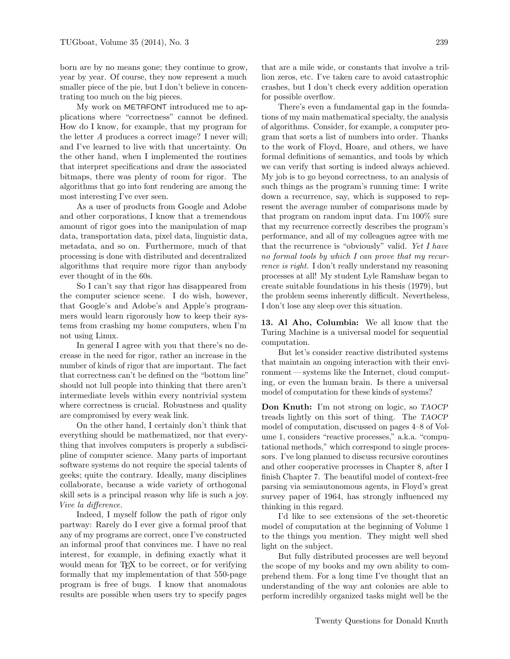born are by no means gone; they continue to grow, year by year. Of course, they now represent a much smaller piece of the pie, but I don't believe in concentrating too much on the big pieces.

My work on METAFONT introduced me to applications where "correctness" cannot be defined. How do I know, for example, that my program for the letter A produces a correct image? I never will; and I've learned to live with that uncertainty. On the other hand, when I implemented the routines that interpret specifications and draw the associated bitmaps, there was plenty of room for rigor. The algorithms that go into font rendering are among the most interesting I've ever seen.

As a user of products from Google and Adobe and other corporations, I know that a tremendous amount of rigor goes into the manipulation of map data, transportation data, pixel data, linguistic data, metadata, and so on. Furthermore, much of that processing is done with distributed and decentralized algorithms that require more rigor than anybody ever thought of in the 60s.

So I can't say that rigor has disappeared from the computer science scene. I do wish, however, that Google's and Adobe's and Apple's programmers would learn rigorously how to keep their systems from crashing my home computers, when I'm not using Linux.

In general I agree with you that there's no decrease in the need for rigor, rather an increase in the number of kinds of rigor that are important. The fact that correctness can't be defined on the "bottom line" should not lull people into thinking that there aren't intermediate levels within every nontrivial system where correctness is crucial. Robustness and quality are compromised by every weak link.

On the other hand, I certainly don't think that everything should be mathematized, nor that everything that involves computers is properly a subdiscipline of computer science. Many parts of important software systems do not require the special talents of geeks; quite the contrary. Ideally, many disciplines collaborate, because a wide variety of orthogonal skill sets is a principal reason why life is such a joy. Vive la difference.

Indeed, I myself follow the path of rigor only partway: Rarely do I ever give a formal proof that any of my programs are correct, once I've constructed an informal proof that convinces me. I have no real interest, for example, in defining exactly what it would mean for T<sub>EX</sub> to be correct, or for verifying formally that my implementation of that 550-page program is free of bugs. I know that anomalous results are possible when users try to specify pages that are a mile wide, or constants that involve a trillion zeros, etc. I've taken care to avoid catastrophic crashes, but I don't check every addition operation for possible overflow.

There's even a fundamental gap in the foundations of my main mathematical specialty, the analysis of algorithms. Consider, for example, a computer program that sorts a list of numbers into order. Thanks to the work of Floyd, Hoare, and others, we have formal definitions of semantics, and tools by which we can verify that sorting is indeed always achieved. My job is to go beyond correctness, to an analysis of such things as the program's running time: I write down a recurrence, say, which is supposed to represent the average number of comparisons made by that program on random input data. I'm 100% sure that my recurrence correctly describes the program's performance, and all of my colleagues agree with me that the recurrence is "obviously" valid. Yet I have no formal tools by which I can prove that my recurrence is right. I don't really understand my reasoning processes at all! My student Lyle Ramshaw began to create suitable foundations in his thesis (1979), but the problem seems inherently difficult. Nevertheless, I don't lose any sleep over this situation.

13. Al Aho, Columbia: We all know that the Turing Machine is a universal model for sequential computation.

But let's consider reactive distributed systems that maintain an ongoing interaction with their environment — systems like the Internet, cloud computing, or even the human brain. Is there a universal model of computation for these kinds of systems?

Don Knuth: I'm not strong on logic, so TAOCP treads lightly on this sort of thing. The TAOCP model of computation, discussed on pages 4–8 of Volume 1, considers "reactive processes," a.k.a. "computational methods," which correspond to single processors. I've long planned to discuss recursive coroutines and other cooperative processes in Chapter 8, after I finish Chapter 7. The beautiful model of context-free parsing via semiautonomous agents, in Floyd's great survey paper of 1964, has strongly influenced my thinking in this regard.

I'd like to see extensions of the set-theoretic model of computation at the beginning of Volume 1 to the things you mention. They might well shed light on the subject.

But fully distributed processes are well beyond the scope of my books and my own ability to comprehend them. For a long time I've thought that an understanding of the way ant colonies are able to perform incredibly organized tasks might well be the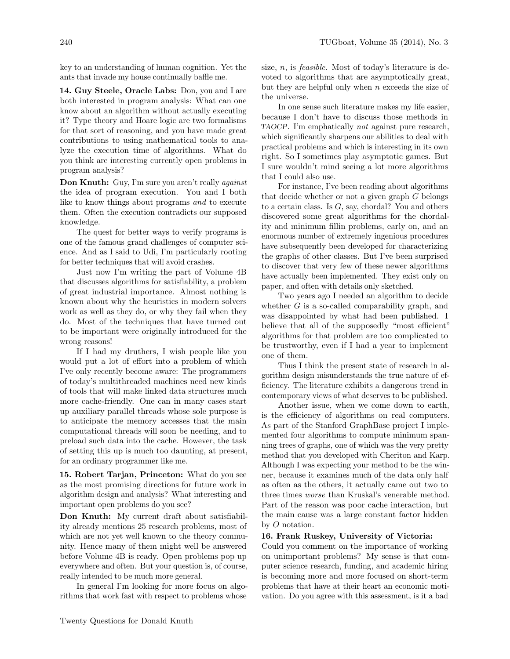key to an understanding of human cognition. Yet the ants that invade my house continually baffle me.

14. Guy Steele, Oracle Labs: Don, you and I are both interested in program analysis: What can one know about an algorithm without actually executing it? Type theory and Hoare logic are two formalisms for that sort of reasoning, and you have made great contributions to using mathematical tools to analyze the execution time of algorithms. What do you think are interesting currently open problems in program analysis?

Don Knuth: Guy, I'm sure you aren't really *against* the idea of program execution. You and I both like to know things about programs and to execute them. Often the execution contradicts our supposed knowledge.

The quest for better ways to verify programs is one of the famous grand challenges of computer science. And as I said to Udi, I'm particularly rooting for better techniques that will avoid crashes.

Just now I'm writing the part of Volume 4B that discusses algorithms for satisfiability, a problem of great industrial importance. Almost nothing is known about why the heuristics in modern solvers work as well as they do, or why they fail when they do. Most of the techniques that have turned out to be important were originally introduced for the wrong reasons!

If I had my druthers, I wish people like you would put a lot of effort into a problem of which I've only recently become aware: The programmers of today's multithreaded machines need new kinds of tools that will make linked data structures much more cache-friendly. One can in many cases start up auxiliary parallel threads whose sole purpose is to anticipate the memory accesses that the main computational threads will soon be needing, and to preload such data into the cache. However, the task of setting this up is much too daunting, at present, for an ordinary programmer like me.

15. Robert Tarjan, Princeton: What do you see as the most promising directions for future work in algorithm design and analysis? What interesting and important open problems do you see?

Don Knuth: My current draft about satisfiability already mentions 25 research problems, most of which are not yet well known to the theory community. Hence many of them might well be answered before Volume 4B is ready. Open problems pop up everywhere and often. But your question is, of course, really intended to be much more general.

In general I'm looking for more focus on algorithms that work fast with respect to problems whose

size,  $n$ , is *feasible*. Most of today's literature is devoted to algorithms that are asymptotically great, but they are helpful only when  $n$  exceeds the size of the universe.

In one sense such literature makes my life easier, because I don't have to discuss those methods in TAOCP. I'm emphatically not against pure research, which significantly sharpens our abilities to deal with practical problems and which is interesting in its own right. So I sometimes play asymptotic games. But I sure wouldn't mind seeing a lot more algorithms that I could also use.

For instance, I've been reading about algorithms that decide whether or not a given graph  $G$  belongs to a certain class. Is  $G$ , say, chordal? You and others discovered some great algorithms for the chordality and minimum fillin problems, early on, and an enormous number of extremely ingenious procedures have subsequently been developed for characterizing the graphs of other classes. But I've been surprised to discover that very few of these newer algorithms have actually been implemented. They exist only on paper, and often with details only sketched.

Two years ago I needed an algorithm to decide whether  $G$  is a so-called comparability graph, and was disappointed by what had been published. I believe that all of the supposedly "most efficient" algorithms for that problem are too complicated to be trustworthy, even if I had a year to implement one of them.

Thus I think the present state of research in algorithm design misunderstands the true nature of efficiency. The literature exhibits a dangerous trend in contemporary views of what deserves to be published.

Another issue, when we come down to earth, is the efficiency of algorithms on real computers. As part of the Stanford GraphBase project I implemented four algorithms to compute minimum spanning trees of graphs, one of which was the very pretty method that you developed with Cheriton and Karp. Although I was expecting your method to be the winner, because it examines much of the data only half as often as the others, it actually came out two to three times worse than Kruskal's venerable method. Part of the reason was poor cache interaction, but the main cause was a large constant factor hidden by O notation.

## 16. Frank Ruskey, University of Victoria:

Could you comment on the importance of working on unimportant problems? My sense is that computer science research, funding, and academic hiring is becoming more and more focused on short-term problems that have at their heart an economic motivation. Do you agree with this assessment, is it a bad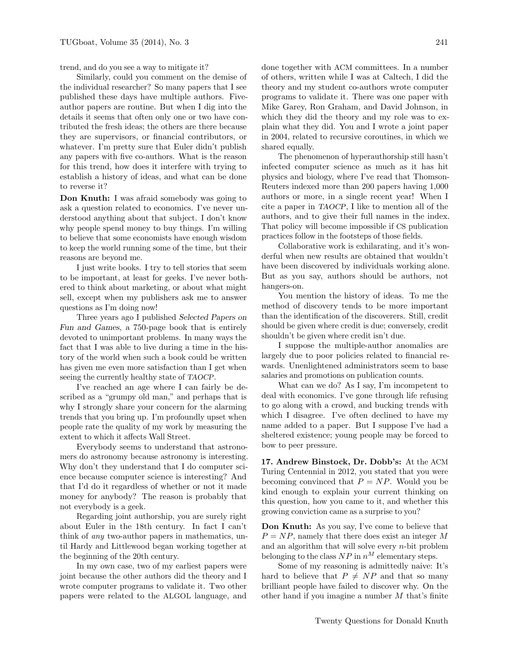trend, and do you see a way to mitigate it?

Similarly, could you comment on the demise of the individual researcher? So many papers that I see published these days have multiple authors. Fiveauthor papers are routine. But when I dig into the details it seems that often only one or two have contributed the fresh ideas; the others are there because they are supervisors, or financial contributors, or whatever. I'm pretty sure that Euler didn't publish any papers with five co-authors. What is the reason for this trend, how does it interfere with trying to establish a history of ideas, and what can be done to reverse it?

Don Knuth: I was afraid somebody was going to ask a question related to economics. I've never understood anything about that subject. I don't know why people spend money to buy things. I'm willing to believe that some economists have enough wisdom to keep the world running some of the time, but their reasons are beyond me.

I just write books. I try to tell stories that seem to be important, at least for geeks. I've never bothered to think about marketing, or about what might sell, except when my publishers ask me to answer questions as I'm doing now!

Three years ago I published Selected Papers on Fun and Games, a 750-page book that is entirely devoted to unimportant problems. In many ways the fact that I was able to live during a time in the history of the world when such a book could be written has given me even more satisfaction than I get when seeing the currently healthy state of TAOCP.

I've reached an age where I can fairly be described as a "grumpy old man," and perhaps that is why I strongly share your concern for the alarming trends that you bring up. I'm profoundly upset when people rate the quality of my work by measuring the extent to which it affects Wall Street.

Everybody seems to understand that astronomers do astronomy because astronomy is interesting. Why don't they understand that I do computer science because computer science is interesting? And that I'd do it regardless of whether or not it made money for anybody? The reason is probably that not everybody is a geek.

Regarding joint authorship, you are surely right about Euler in the 18th century. In fact I can't think of any two-author papers in mathematics, until Hardy and Littlewood began working together at the beginning of the 20th century.

In my own case, two of my earliest papers were joint because the other authors did the theory and I wrote computer programs to validate it. Two other papers were related to the ALGOL language, and

done together with ACM committees. In a number of others, written while I was at Caltech, I did the theory and my student co-authors wrote computer programs to validate it. There was one paper with Mike Garey, Ron Graham, and David Johnson, in which they did the theory and my role was to explain what they did. You and I wrote a joint paper in 2004, related to recursive coroutines, in which we shared equally.

The phenomenon of hyperauthorship still hasn't infected computer science as much as it has hit physics and biology, where I've read that Thomson-Reuters indexed more than 200 papers having 1,000 authors or more, in a single recent year! When I cite a paper in TAOCP, I like to mention all of the authors, and to give their full names in the index. That policy will become impossible if CS publication practices follow in the footsteps of those fields.

Collaborative work is exhilarating, and it's wonderful when new results are obtained that wouldn't have been discovered by individuals working alone. But as you say, authors should be authors, not hangers-on.

You mention the history of ideas. To me the method of discovery tends to be more important than the identification of the discoverers. Still, credit should be given where credit is due; conversely, credit shouldn't be given where credit isn't due.

I suppose the multiple-author anomalies are largely due to poor policies related to financial rewards. Unenlightened administrators seem to base salaries and promotions on publication counts.

What can we do? As I say, I'm incompetent to deal with economics. I've gone through life refusing to go along with a crowd, and bucking trends with which I disagree. I've often declined to have my name added to a paper. But I suppose I've had a sheltered existence; young people may be forced to bow to peer pressure.

17. Andrew Binstock, Dr. Dobb's: At the ACM Turing Centennial in 2012, you stated that you were becoming convinced that  $P = NP$ . Would you be kind enough to explain your current thinking on this question, how you came to it, and whether this growing conviction came as a surprise to you?

Don Knuth: As you say, I've come to believe that  $P = NP$ , namely that there does exist an integer M and an algorithm that will solve every  $n$ -bit problem belonging to the class  $NP$  in  $n^M$  elementary steps.

Some of my reasoning is admittedly naive: It's hard to believe that  $P \neq NP$  and that so many brilliant people have failed to discover why. On the other hand if you imagine a number  $M$  that's finite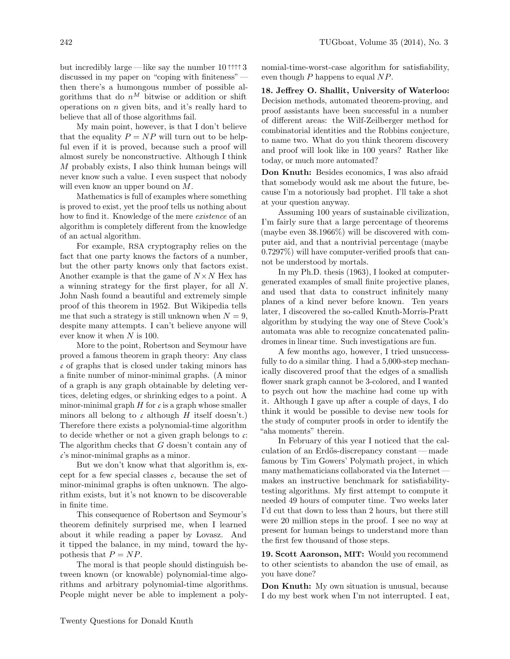but incredibly large— like say the number 10 ↑↑↑↑ 3 discussed in my paper on "coping with finiteness" then there's a humongous number of possible algorithms that do  $n^M$  bitwise or addition or shift operations on  $n$  given bits, and it's really hard to believe that all of those algorithms fail.

My main point, however, is that I don't believe that the equality  $P = NP$  will turn out to be helpful even if it is proved, because such a proof will almost surely be nonconstructive. Although I think M probably exists, I also think human beings will never know such a value. I even suspect that nobody will even know an upper bound on  $M$ .

Mathematics is full of examples where something is proved to exist, yet the proof tells us nothing about how to find it. Knowledge of the mere existence of an algorithm is completely different from the knowledge of an actual algorithm.

For example, RSA cryptography relies on the fact that one party knows the factors of a number, but the other party knows only that factors exist. Another example is that the game of  $N \times N$  Hex has a winning strategy for the first player, for all N. John Nash found a beautiful and extremely simple proof of this theorem in 1952. But Wikipedia tells me that such a strategy is still unknown when  $N = 9$ , despite many attempts. I can't believe anyone will ever know it when N is 100.

More to the point, Robertson and Seymour have proved a famous theorem in graph theory: Any class *c* of graphs that is closed under taking minors has a finite number of minor-minimal graphs. (A minor of a graph is any graph obtainable by deleting vertices, deleting edges, or shrinking edges to a point. A minor-minimal graph  $H$  for  $c$  is a graph whose smaller minors all belong to  $c$  although  $H$  itself doesn't.) Therefore there exists a polynomial-time algorithm to decide whether or not a given graph belongs to *c*: The algorithm checks that G doesn't contain any of *c*'s minor-minimal graphs as a minor.

But we don't know what that algorithm is, except for a few special classes  $c$ , because the set of minor-minimal graphs is often unknown. The algorithm exists, but it's not known to be discoverable in finite time.

This consequence of Robertson and Seymour's theorem definitely surprised me, when I learned about it while reading a paper by Lovasz. And it tipped the balance, in my mind, toward the hypothesis that  $P = NP$ .

The moral is that people should distinguish between known (or knowable) polynomial-time algorithms and arbitrary polynomial-time algorithms. People might never be able to implement a polynomial-time-worst-case algorithm for satisfiability, even though  $P$  happens to equal  $NP$ .

18. Jeffrey O. Shallit, University of Waterloo: Decision methods, automated theorem-proving, and proof assistants have been successful in a number of different areas: the Wilf-Zeilberger method for combinatorial identities and the Robbins conjecture, to name two. What do you think theorem discovery and proof will look like in 100 years? Rather like today, or much more automated?

Don Knuth: Besides economics, I was also afraid that somebody would ask me about the future, because I'm a notoriously bad prophet. I'll take a shot at your question anyway.

Assuming 100 years of sustainable civilization, I'm fairly sure that a large percentage of theorems (maybe even 38.1966%) will be discovered with computer aid, and that a nontrivial percentage (maybe 0.7297%) will have computer-verified proofs that cannot be understood by mortals.

In my Ph.D. thesis (1963), I looked at computergenerated examples of small finite projective planes, and used that data to construct infinitely many planes of a kind never before known. Ten years later, I discovered the so-called Knuth-Morris-Pratt algorithm by studying the way one of Steve Cook's automata was able to recognize concatenated palindromes in linear time. Such investigations are fun.

A few months ago, however, I tried unsuccessfully to do a similar thing. I had a 5,000-step mechanically discovered proof that the edges of a smallish flower snark graph cannot be 3-colored, and I wanted to psych out how the machine had come up with it. Although I gave up after a couple of days, I do think it would be possible to devise new tools for the study of computer proofs in order to identify the "aha moments" therein.

In February of this year I noticed that the calculation of an Erdős-discrepancy constant—made famous by Tim Gowers' Polymath project, in which many mathematicians collaborated via the Internet makes an instructive benchmark for satisfiabilitytesting algorithms. My first attempt to compute it needed 49 hours of computer time. Two weeks later I'd cut that down to less than 2 hours, but there still were 20 million steps in the proof. I see no way at present for human beings to understand more than the first few thousand of those steps.

19. Scott Aaronson, MIT: Would you recommend to other scientists to abandon the use of email, as you have done?

Don Knuth: My own situation is unusual, because I do my best work when I'm not interrupted. I eat,